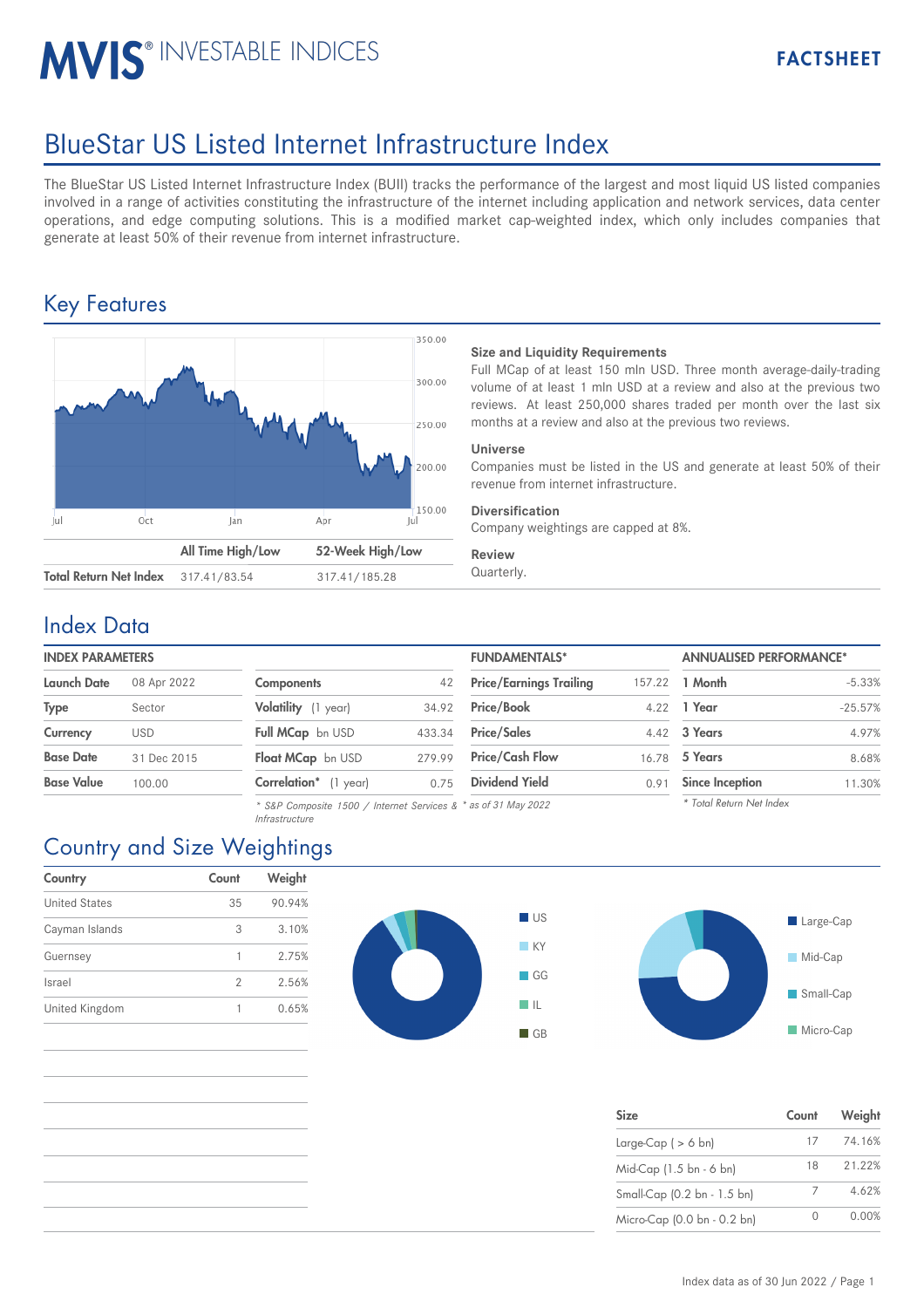# **MVIS® INVESTABLE INDICES**

# BlueStar US Listed Internet Infrastructure Index

The BlueStar US Listed Internet Infrastructure Index (BUII) tracks the performance of the largest and most liquid US listed companies involved in a range of activities constituting the infrastructure of the internet including application and network services, data center operations, and edge computing solutions. This is a modified market cap-weighted index, which only includes companies that generate at least 50% of their revenue from internet infrastructure.

## Key Features



### **Size and Liquidity Requirements**

Full MCap of at least 150 mln USD. Three month average-daily-trading volume of at least 1 mln USD at a review and also at the previous two reviews. At least 250,000 shares traded per month over the last six months at a review and also at the previous two reviews.

#### **Universe**

Companies must be listed in the US and generate at least 50% of their revenue from internet infrastructure.

### **Diversification**

Company weightings are capped at 8%.

#### **Review**

### Index Data

### **INDEX PARAMETERS**

| <b>Launch Date</b> | 08 Apr 2022 |
|--------------------|-------------|
| <b>Type</b>        | Sector      |
| Currency           | <b>USD</b>  |
| <b>Base Date</b>   | 31 Dec 2015 |
| <b>Base Value</b>  | 100.00      |

| <b>Components</b>     | 42     |
|-----------------------|--------|
| Volatility (1 year)   | 34.92  |
| Full MCap bn USD      | 433.34 |
| Float MCap bn USD     | 279.99 |
| Correlation* (1 year) | 0.75   |

*\* S&P Composite 1500 / Internet Services & \* as of 31 May 2022 Infrastructure*

| <b>INDEX PARAMETERS</b> |             |                       |        | <b>FUNDAMENTALS*</b>           |        | <b>ANNUALISED PERFORMANCE*</b> |           |
|-------------------------|-------------|-----------------------|--------|--------------------------------|--------|--------------------------------|-----------|
| Launch Date             | 08 Apr 2022 | <b>Components</b>     | 42     | <b>Price/Earnings Trailing</b> | 157.22 | 1 Month                        | $-5.33%$  |
| Type                    | Sector      | Volatility (1 year)   | 34.92  | <b>Price/Book</b>              | 4.22   | 1 Year                         | $-25.57%$ |
| Currency                | <b>USD</b>  | Full MCap bn USD      | 433.34 | <b>Price/Sales</b>             |        | 4.42 3 Years                   | 4.97%     |
| <b>Base Date</b>        | 31 Dec 2015 | Float MCap bn USD     | 279.99 | <b>Price/Cash Flow</b>         |        | 16.78 5 Years                  | 8.68%     |
| Base Value              | 100.00      | Correlation* (1 year) | 0.75   | <b>Dividend Yield</b>          | 0.91   | <b>Since Inception</b>         | 11.30%    |
|                         |             |                       |        |                                |        |                                |           |

| <b>Since Inception</b>   |  |
|--------------------------|--|
| * Total Return Net Index |  |

# Large-Cap Mid-Cap Small-Cap **Micro-Cap**

| <b>Size</b>                 | Count | Weight |
|-----------------------------|-------|--------|
| Large-Cap $( > 6$ bn)       | 17    | 74.16% |
| Mid-Cap (1.5 bn - 6 bn)     | 18    | 21.22% |
| Small-Cap (0.2 bn - 1.5 bn) |       | 4.62%  |
| Micro-Cap (0.0 bn - 0.2 bn) |       | 0.00%  |

# Country and Size Weightings

| Country              | Count | Weight |
|----------------------|-------|--------|
| <b>United States</b> | 35    | 90.94% |
| Cayman Islands       | 3     | 3.10%  |
| Guernsey             |       | 2.75%  |
| Israel               | 2     | 2.56%  |
| United Kingdom       |       | 0.65%  |